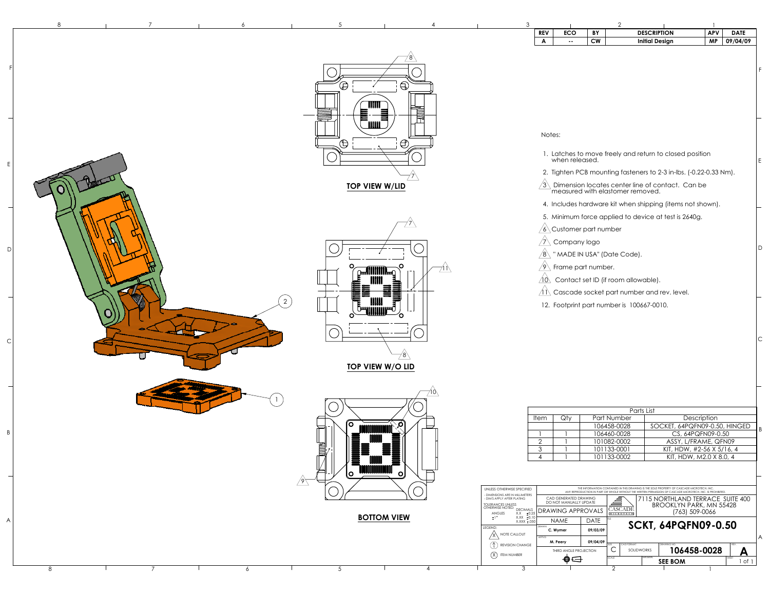| 3 |                                                            |                      |           | $\overline{2}$                            |                                                                   |                         |             |
|---|------------------------------------------------------------|----------------------|-----------|-------------------------------------------|-------------------------------------------------------------------|-------------------------|-------------|
|   | <b>REV</b>                                                 | <b>ECO</b>           | BY        |                                           | <b>DESCRIPTION</b>                                                | <b>APV</b>              | <b>DATE</b> |
|   | A                                                          | ۰.                   | <b>CW</b> |                                           | <b>Initial Design</b>                                             | <b>MP</b>               | 09/04/09    |
|   |                                                            |                      |           |                                           |                                                                   |                         |             |
|   |                                                            |                      |           |                                           |                                                                   |                         |             |
|   |                                                            |                      |           |                                           |                                                                   |                         |             |
|   |                                                            |                      |           |                                           |                                                                   |                         |             |
|   |                                                            |                      |           |                                           |                                                                   |                         |             |
|   |                                                            |                      |           |                                           |                                                                   |                         |             |
|   |                                                            |                      |           |                                           |                                                                   |                         |             |
|   |                                                            |                      |           |                                           |                                                                   |                         |             |
|   | Notes:                                                     |                      |           |                                           |                                                                   |                         |             |
|   |                                                            |                      |           |                                           |                                                                   |                         |             |
|   |                                                            |                      |           |                                           | 1. Latches to move freely and return to closed position           |                         |             |
|   |                                                            | when released.       |           |                                           |                                                                   |                         |             |
|   |                                                            |                      |           |                                           | 2. Tighten PCB mounting fasteners to 2-3 in-lbs. (-0.22-0.33 Nm). |                         |             |
|   | $\left[3\right]$                                           |                      |           |                                           | Dimension locates center line of contact. Can be                  |                         |             |
|   |                                                            |                      |           | measured with elastomer removed.          |                                                                   |                         |             |
|   |                                                            |                      |           |                                           | 4. Includes hardware kit when shipping (items not shown).         |                         |             |
|   |                                                            |                      |           |                                           |                                                                   |                         |             |
|   |                                                            |                      |           |                                           | 5. Minimum force applied to device at test is 2640g.              |                         |             |
|   |                                                            | Customer part number |           |                                           |                                                                   |                         |             |
|   |                                                            | Company logo         |           |                                           |                                                                   |                         |             |
|   | $\langle 8 \rangle$                                        |                      |           | " MADE IN USA" (Date Code).               |                                                                   |                         |             |
|   | 91                                                         | Frame part number.   |           |                                           |                                                                   |                         |             |
|   |                                                            |                      |           |                                           |                                                                   |                         |             |
|   | $10\backslash$                                             |                      |           | Contact set ID (if room allowable).       |                                                                   |                         |             |
|   |                                                            |                      |           |                                           | Cascade socket part number and rev. level.                        |                         |             |
|   |                                                            |                      |           | 12. Footprint part number is 100667-0010. |                                                                   |                         |             |
|   |                                                            |                      |           |                                           |                                                                   |                         |             |
|   |                                                            |                      |           |                                           |                                                                   |                         |             |
|   |                                                            |                      |           |                                           |                                                                   |                         |             |
|   |                                                            |                      |           |                                           |                                                                   |                         |             |
|   |                                                            |                      |           |                                           |                                                                   |                         |             |
|   |                                                            |                      |           |                                           |                                                                   |                         |             |
|   |                                                            |                      |           |                                           |                                                                   |                         |             |
|   |                                                            |                      |           |                                           |                                                                   |                         |             |
|   |                                                            |                      |           |                                           |                                                                   |                         |             |
|   |                                                            |                      |           |                                           |                                                                   |                         |             |
|   |                                                            |                      |           | Parts List                                |                                                                   |                         |             |
|   | Item                                                       | Qty                  |           | Part Number<br>106458-0028                | SOCKET, 64PQFN09-0.50, HINGED                                     | Description             |             |
|   |                                                            |                      |           | 106460-0028                               |                                                                   | CS, 64PQFN09-0.50       |             |
|   | $\overline{2}$                                             |                      |           | 101082-0002                               | ASSY, L/FRAME, QFN09                                              |                         |             |
|   | $\mathfrak{S}% _{M_{1},M_{2}}^{\alpha,\beta}(\varepsilon)$ |                      |           | 101133-0001                               | KIT, HDW, #2-56 X 5/16, 4                                         |                         |             |
|   | 4                                                          | 1<br>$\mathbf{I}$    |           | 101133-0002                               |                                                                   | KIT, HDW, M2.0 X 8.0, 4 |             |

| UNLESS OTHERWISE SPECIFIED<br>- DIMENSIONS ARE IN MILLIMETERS<br>- DIM'S APPLY AFTER PLATING<br><b>TOLERANCES UNLESS</b><br>OTHERWISE NOTED: |                                                                                                                    | <b>DECIMALS</b> | CAD GENERATED DRAWING<br>DO NOT MANUALLY UPDATE<br><b>DRAWING APPROVALS</b> |                         | THE INFORMATION CONTAINED IN THIS DRAWING IS THE SOLE PROPERTY OF CASCADE MICROTECH, INC.<br>ANY REPRODUCTION IN PART OR WHOLE WITHOUT THE WRITTEN PERMISSION OF CASCADE MICROTECH, INC. IS PROHIBITED.<br>7115 NORTHLAND TERRACE SUITE 400<br><b>BROOKLYN PARK, MN 55428</b><br>CASCADE |            |                                              |                                              |                       |
|----------------------------------------------------------------------------------------------------------------------------------------------|--------------------------------------------------------------------------------------------------------------------|-----------------|-----------------------------------------------------------------------------|-------------------------|------------------------------------------------------------------------------------------------------------------------------------------------------------------------------------------------------------------------------------------------------------------------------------------|------------|----------------------------------------------|----------------------------------------------|-----------------------|
|                                                                                                                                              | ±0.25<br>X.X<br><b>ANGLES</b><br>$+1$ °<br>$X.XX \pm 0.10$<br>$X.XXX \pm .050$<br>LEGEND:<br><b>NOTE CALLOUT</b>   |                 | <b>NAME</b><br><b>DRAWN</b><br>C. Wymer<br>APPVD                            | <b>DATE</b><br>09/03/09 | MICROTECH<br><b>TITLE</b>                                                                                                                                                                                                                                                                |            | (763) 509-0066<br><b>SCKT, 64PQFN09-0.50</b> |                                              |                       |
|                                                                                                                                              | $\left( \begin{smallmatrix} A \\ A \end{smallmatrix} \right)$<br><b>REVISION CHANGE</b><br><b>ITEM NUMBER</b><br>3 |                 | 09/04/09<br>M. Peery<br>THIRD ANGLE PROJECTION                              |                         | SIZE<br>SCALE<br>◠                                                                                                                                                                                                                                                                       | CAD FORMAT | <b>SOLIDWORKS</b><br><b>MATERIAL</b>         | DRAWING NO.<br>106458-0028<br><b>SEE BOM</b> | REV.<br>SHEET<br>l of |

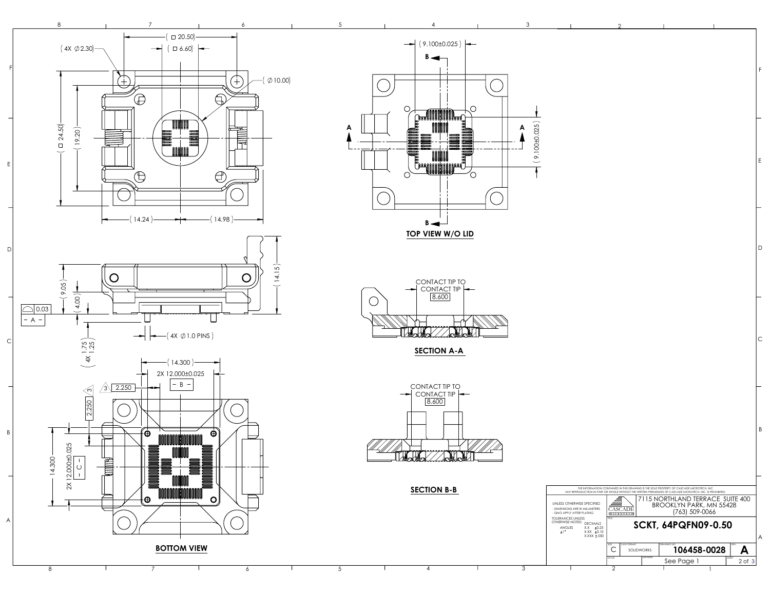